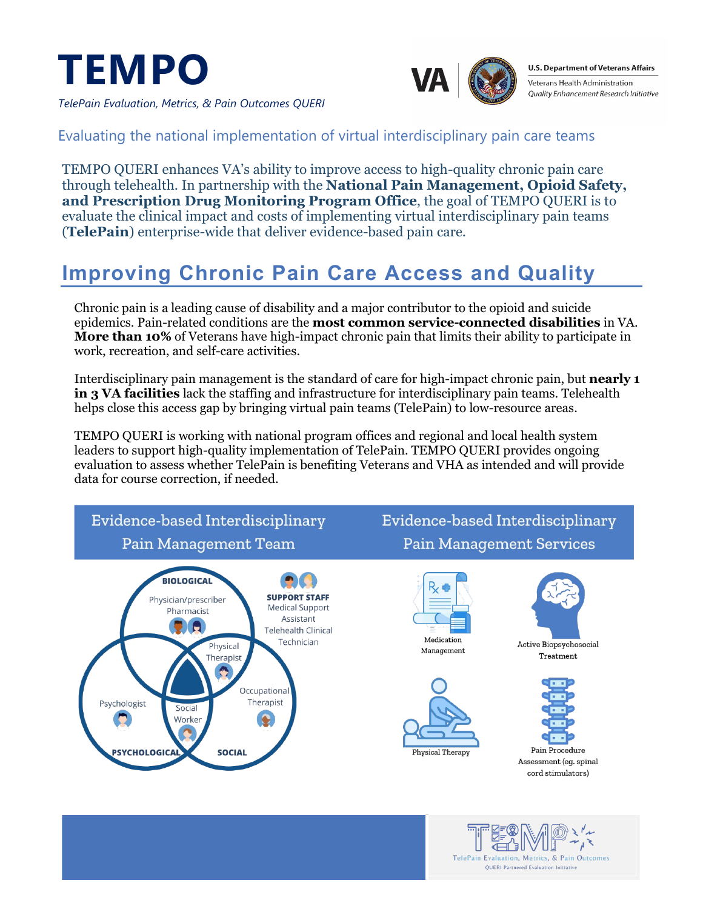



**U.S. Department of Veterans Affairs** Veterans Health Administration Quality Enhancement Research Initiative

*TelePain Evaluation, Metrics, & Pain Outcomes QUERI*

#### Evaluating the national implementation of virtual interdisciplinary pain care teams

TEMPO QUERI enhances VA's ability to improve access to high-quality chronic pain care through telehealth. In partnership with the **National Pain Management, Opioid Safety, and Prescription Drug Monitoring Program Office**, the goal of TEMPO QUERI is to evaluate the clinical impact and costs of implementing virtual interdisciplinary pain teams (**TelePain**) enterprise-wide that deliver evidence-based pain care.

### **Improving Chronic Pain Care Access and Quality**

Chronic pain is a leading cause of disability and a major contributor to the opioid and suicide epidemics. Pain-related conditions are the **most common service-connected disabilities** in VA. **More than 10%** of Veterans have high-impact chronic pain that limits their ability to participate in work, recreation, and self-care activities.

Interdisciplinary pain management is the standard of care for high-impact chronic pain, but **nearly 1 in 3 VA facilities** lack the staffing and infrastructure for interdisciplinary pain teams. Telehealth helps close this access gap by bringing virtual pain teams (TelePain) to low-resource areas.

TEMPO QUERI is working with national program offices and regional and local health system leaders to support high-quality implementation of TelePain. TEMPO QUERI provides ongoing evaluation to assess whether TelePain is benefiting Veterans and VHA as intended and will provide data for course correction, if needed.